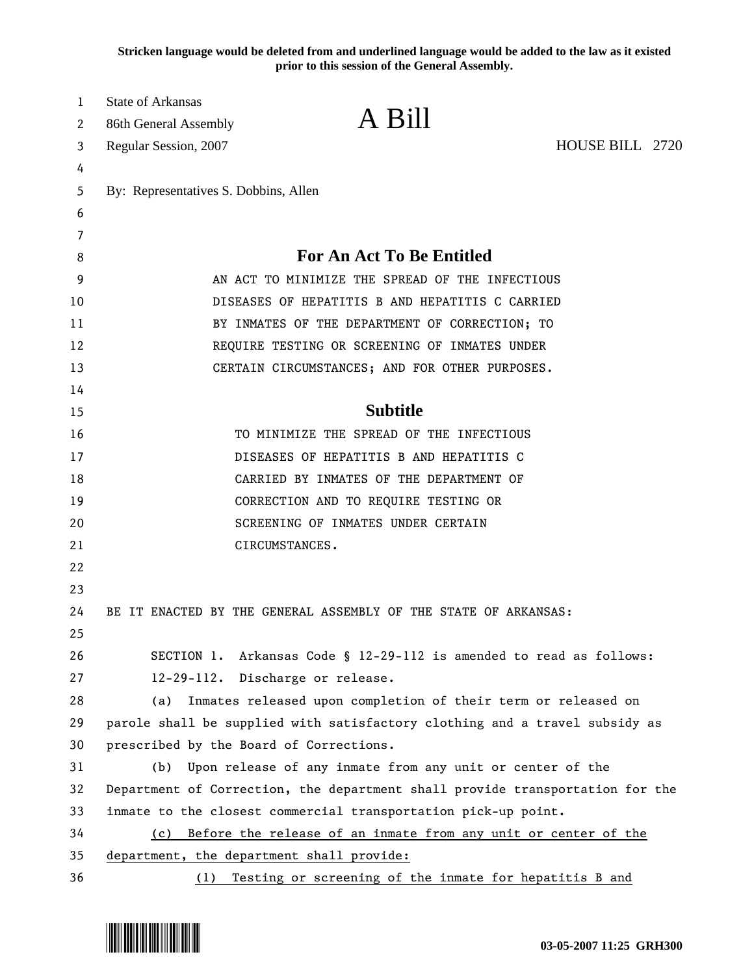**Stricken language would be deleted from and underlined language would be added to the law as it existed prior to this session of the General Assembly.**

| 1  | <b>State of Arkansas</b>                                                      | A Bill                                                                      |                 |
|----|-------------------------------------------------------------------------------|-----------------------------------------------------------------------------|-----------------|
| 2  | 86th General Assembly                                                         |                                                                             |                 |
| 3  | Regular Session, 2007                                                         |                                                                             | HOUSE BILL 2720 |
| 4  |                                                                               |                                                                             |                 |
| 5  | By: Representatives S. Dobbins, Allen                                         |                                                                             |                 |
| 6  |                                                                               |                                                                             |                 |
| 7  |                                                                               |                                                                             |                 |
| 8  | <b>For An Act To Be Entitled</b>                                              |                                                                             |                 |
| 9  | AN ACT TO MINIMIZE THE SPREAD OF THE INFECTIOUS                               |                                                                             |                 |
| 10 | DISEASES OF HEPATITIS B AND HEPATITIS C CARRIED                               |                                                                             |                 |
| 11 | BY INMATES OF THE DEPARTMENT OF CORRECTION; TO                                |                                                                             |                 |
| 12 | REQUIRE TESTING OR SCREENING OF INMATES UNDER                                 |                                                                             |                 |
| 13 |                                                                               | CERTAIN CIRCUMSTANCES; AND FOR OTHER PURPOSES.                              |                 |
| 14 |                                                                               |                                                                             |                 |
| 15 |                                                                               | <b>Subtitle</b>                                                             |                 |
| 16 |                                                                               | TO MINIMIZE THE SPREAD OF THE INFECTIOUS                                    |                 |
| 17 |                                                                               | DISEASES OF HEPATITIS B AND HEPATITIS C                                     |                 |
| 18 |                                                                               | CARRIED BY INMATES OF THE DEPARTMENT OF                                     |                 |
| 19 |                                                                               | CORRECTION AND TO REQUIRE TESTING OR                                        |                 |
| 20 |                                                                               | SCREENING OF INMATES UNDER CERTAIN                                          |                 |
| 21 |                                                                               | CIRCUMSTANCES.                                                              |                 |
| 22 |                                                                               |                                                                             |                 |
| 23 |                                                                               |                                                                             |                 |
| 24 |                                                                               | BE IT ENACTED BY THE GENERAL ASSEMBLY OF THE STATE OF ARKANSAS:             |                 |
| 25 |                                                                               |                                                                             |                 |
| 26 |                                                                               | SECTION 1. Arkansas Code § 12-29-112 is amended to read as follows:         |                 |
| 27 | 12-29-112. Discharge or release.                                              |                                                                             |                 |
| 28 | (a)                                                                           | Inmates released upon completion of their term or released on               |                 |
| 29 |                                                                               | parole shall be supplied with satisfactory clothing and a travel subsidy as |                 |
| 30 | prescribed by the Board of Corrections.                                       |                                                                             |                 |
| 31 | (b)                                                                           | Upon release of any inmate from any unit or center of the                   |                 |
| 32 | Department of Correction, the department shall provide transportation for the |                                                                             |                 |
| 33 |                                                                               | inmate to the closest commercial transportation pick-up point.              |                 |
| 34 | (c) Before the release of an inmate from any unit or center of the            |                                                                             |                 |
| 35 | department, the department shall provide:                                     |                                                                             |                 |
| 36 | (1)                                                                           | Testing or screening of the inmate for hepatitis B and                      |                 |